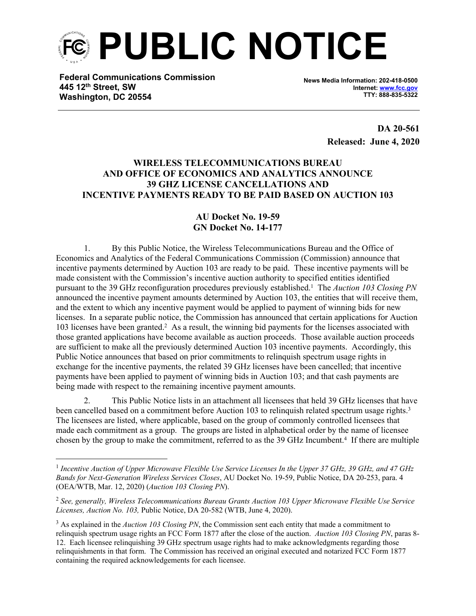

**Federal Communications Commission 445 12th Street, SW Washington, DC 20554**

**News Media Information: 202-418-0500 Internet: [www.fcc.gov](http://www.fcc.gov) TTY: 888-835-5322**

> **DA 20-561 Released: June 4, 2020**

## **WIRELESS TELECOMMUNICATIONS BUREAU AND OFFICE OF ECONOMICS AND ANALYTICS ANNOUNCE 39 GHZ LICENSE CANCELLATIONS AND INCENTIVE PAYMENTS READY TO BE PAID BASED ON AUCTION 103**

## **AU Docket No. 19-59 GN Docket No. 14-177**

1. By this Public Notice, the Wireless Telecommunications Bureau and the Office of Economics and Analytics of the Federal Communications Commission (Commission) announce that incentive payments determined by Auction 103 are ready to be paid. These incentive payments will be made consistent with the Commission's incentive auction authority to specified entities identified pursuant to the 39 GHz reconfiguration procedures previously established.<sup>1</sup> The *Auction 103 Closing PN* announced the incentive payment amounts determined by Auction 103, the entities that will receive them, and the extent to which any incentive payment would be applied to payment of winning bids for new licenses. In a separate public notice, the Commission has announced that certain applications for Auction 103 licenses have been granted.<sup>2</sup> As a result, the winning bid payments for the licenses associated with those granted applications have become available as auction proceeds. Those available auction proceeds are sufficient to make all the previously determined Auction 103 incentive payments. Accordingly, this Public Notice announces that based on prior commitments to relinquish spectrum usage rights in exchange for the incentive payments, the related 39 GHz licenses have been cancelled; that incentive payments have been applied to payment of winning bids in Auction 103; and that cash payments are being made with respect to the remaining incentive payment amounts.

2. This Public Notice lists in an attachment all licensees that held 39 GHz licenses that have been cancelled based on a commitment before Auction 103 to relinquish related spectrum usage rights.<sup>3</sup> The licensees are listed, where applicable, based on the group of commonly controlled licensees that made each commitment as a group. The groups are listed in alphabetical order by the name of licensee chosen by the group to make the commitment, referred to as the 39 GHz Incumbent.<sup>4</sup> If there are multiple

<sup>&</sup>lt;sup>1</sup> Incentive Auction of Upper Microwave Flexible Use Service Licenses In the Upper 37 GHz, 39 GHz, and 47 GHz *Bands for Next-Generation Wireless Services Closes*, AU Docket No. 19-59, Public Notice, DA 20-253, para. 4 (OEA/WTB, Mar. 12, 2020) (*Auction 103 Closing PN*).

<sup>2</sup> *See, generally, Wireless Telecommunications Bureau Grants Auction 103 Upper Microwave Flexible Use Service Licenses, Auction No. 103,* Public Notice, DA 20-582 (WTB, June 4, 2020).

<sup>&</sup>lt;sup>3</sup> As explained in the *Auction 103 Closing PN*, the Commission sent each entity that made a commitment to relinquish spectrum usage rights an FCC Form 1877 after the close of the auction. *Auction 103 Closing PN*, paras 8- 12. Each licensee relinquishing 39 GHz spectrum usage rights had to make acknowledgments regarding those relinquishments in that form. The Commission has received an original executed and notarized FCC Form 1877 containing the required acknowledgements for each licensee.